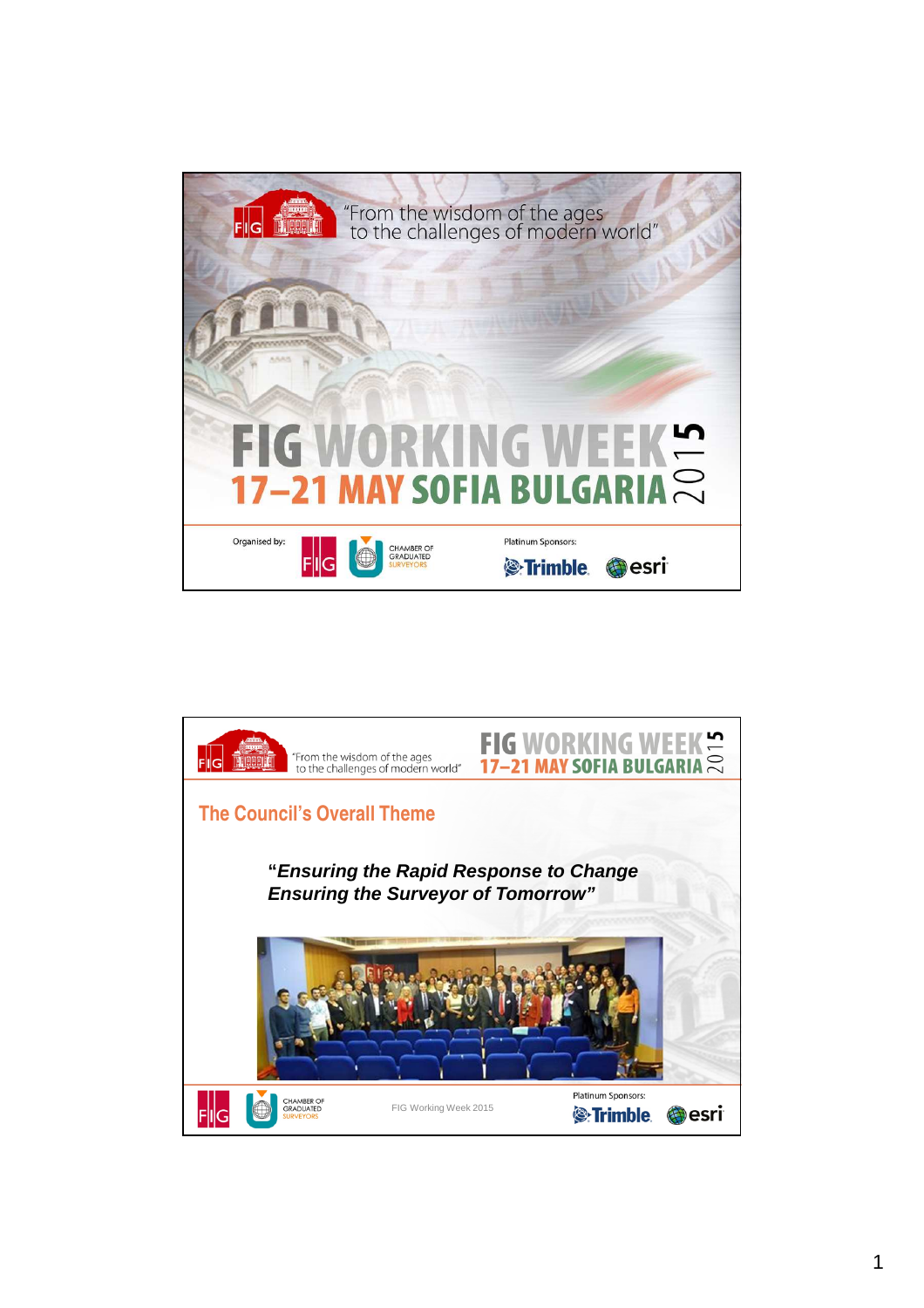

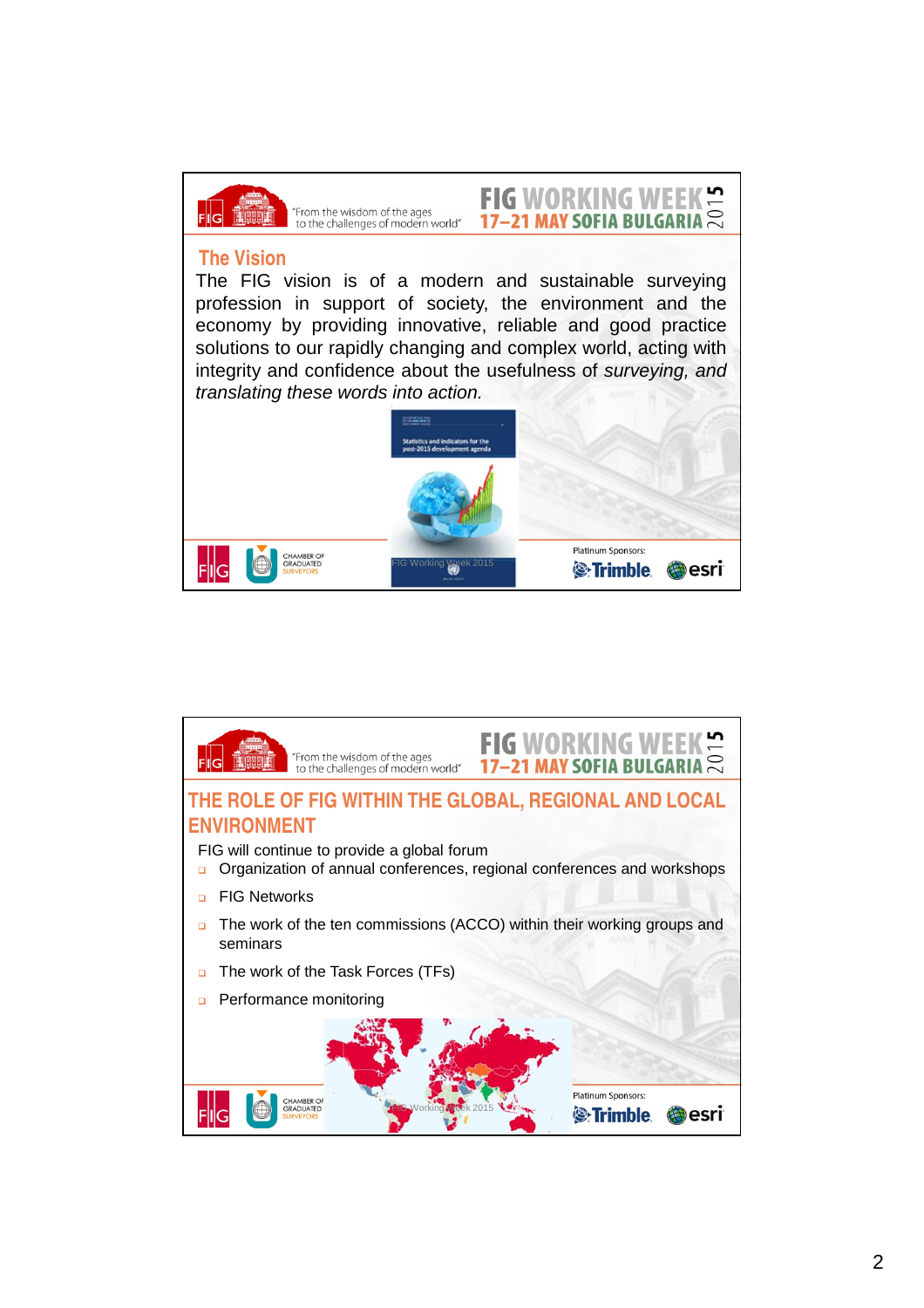

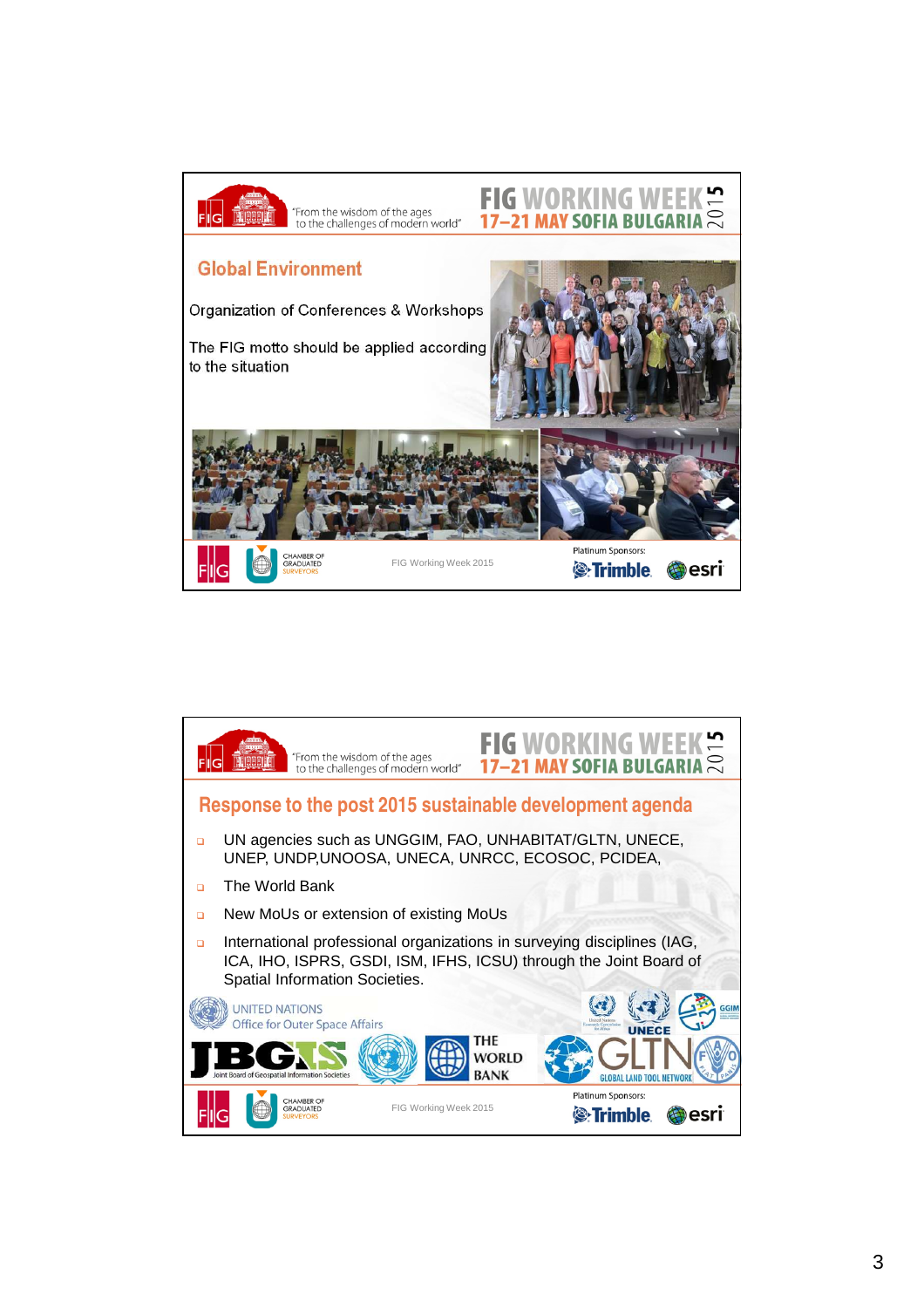

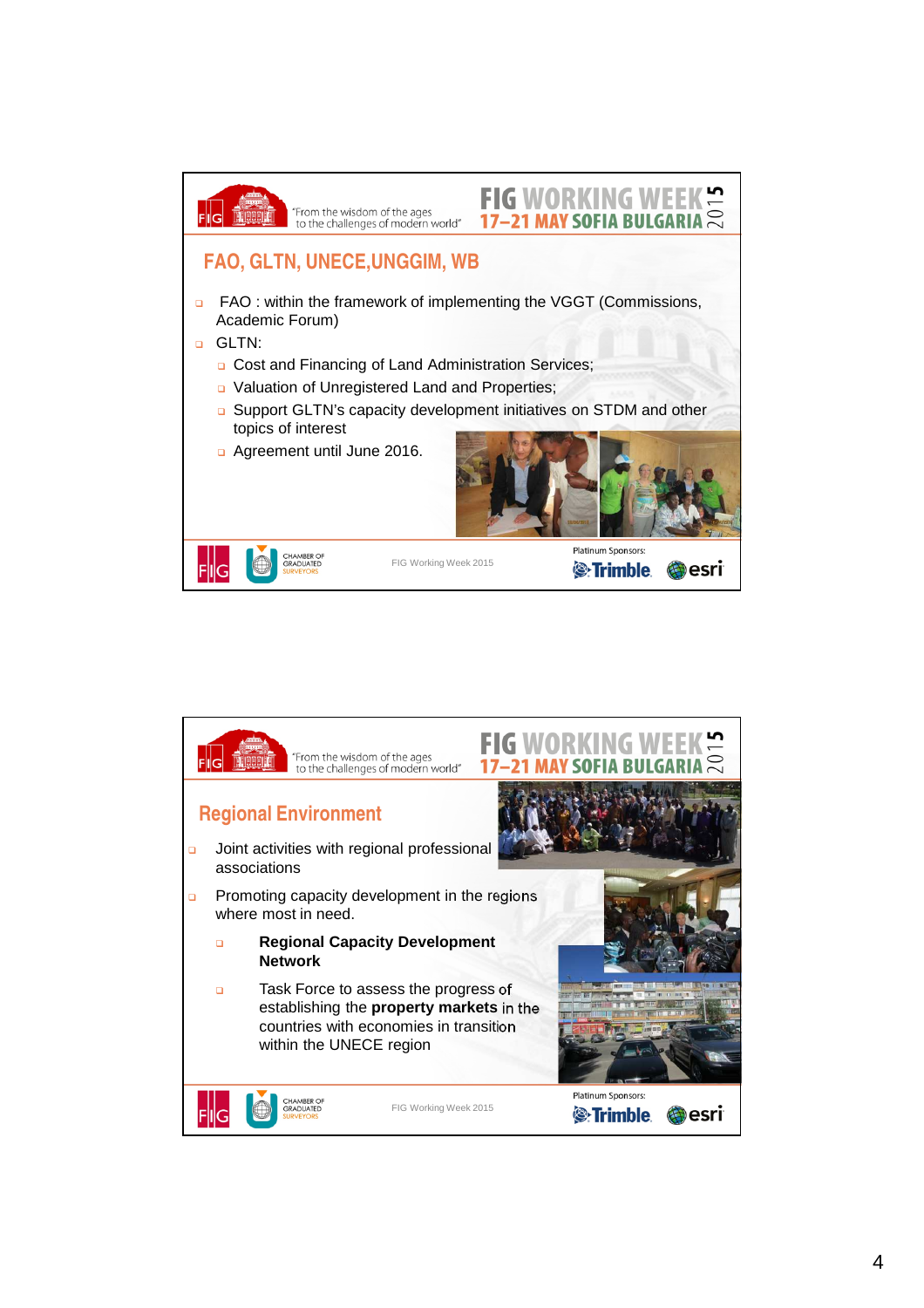

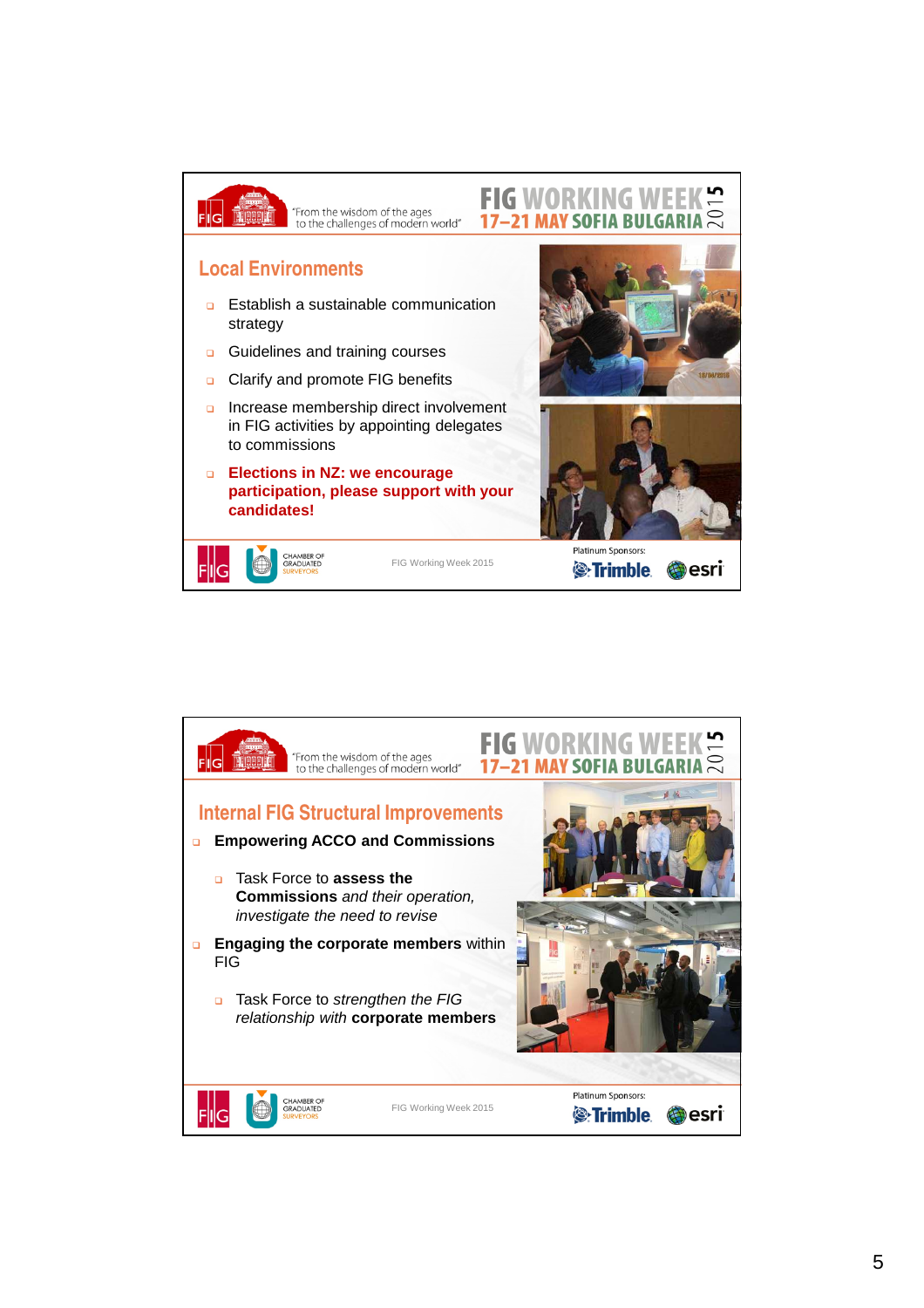

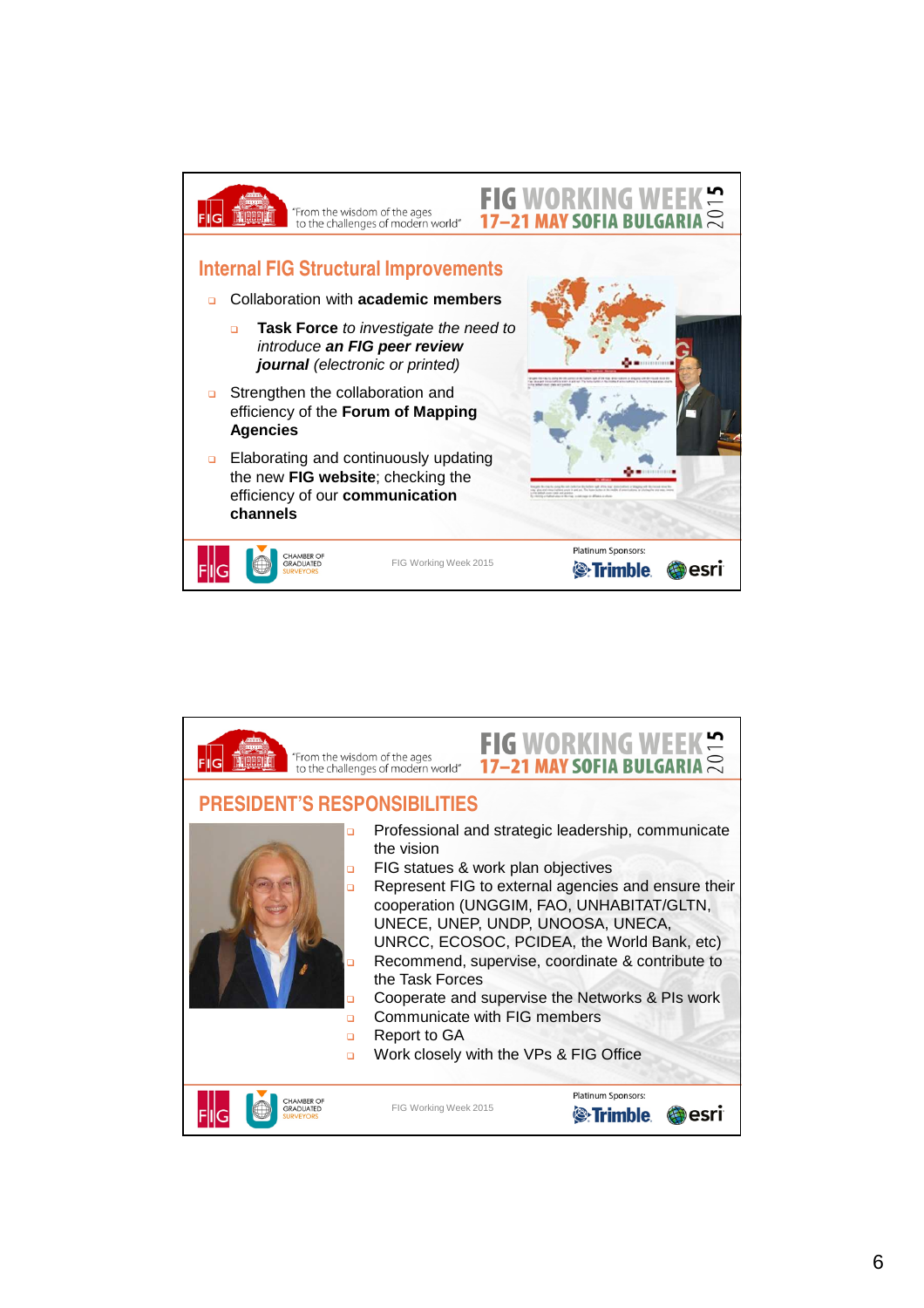

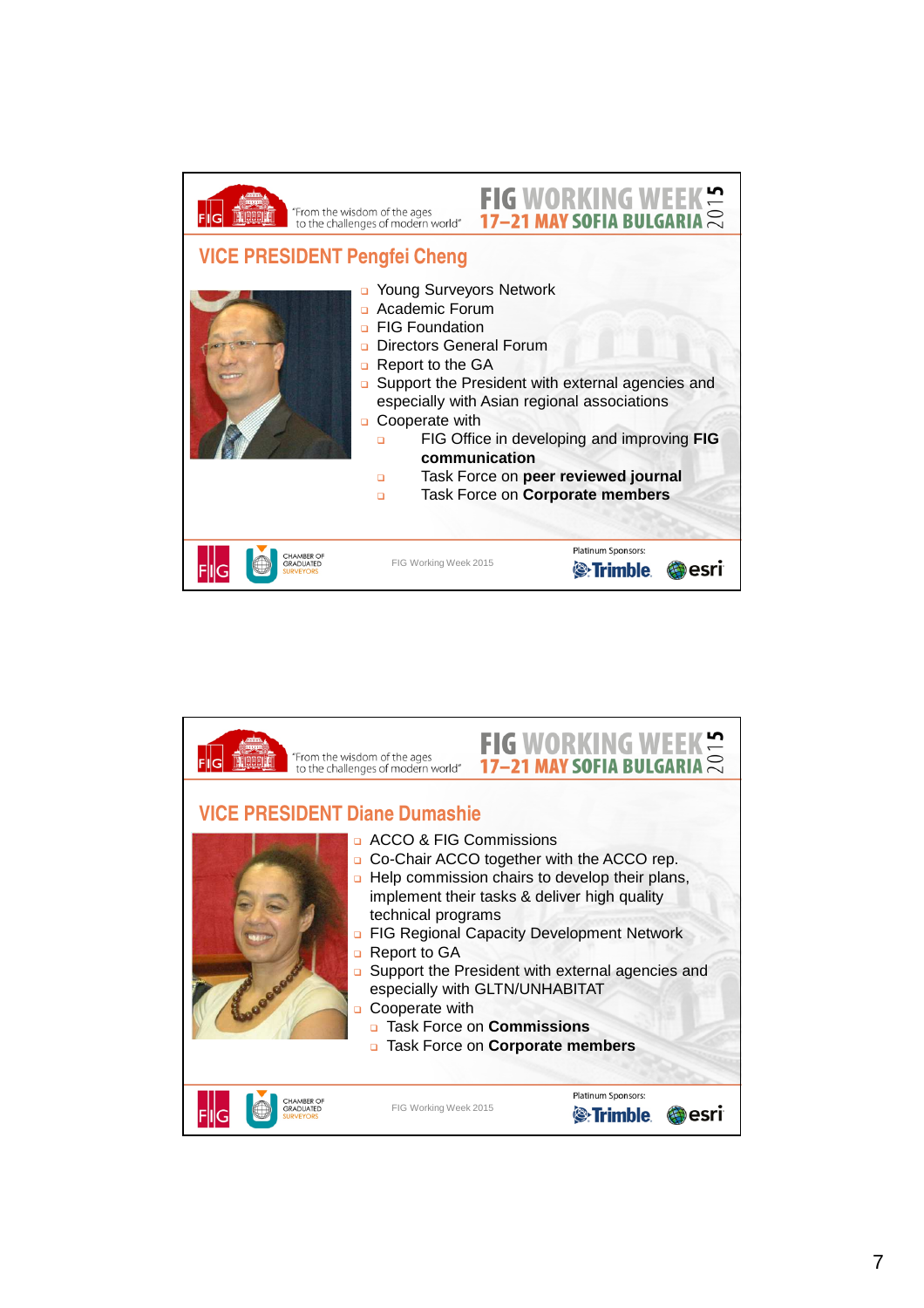